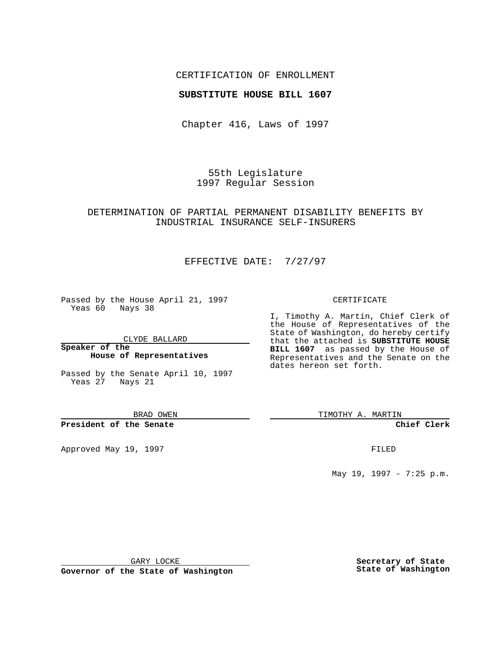## CERTIFICATION OF ENROLLMENT

### **SUBSTITUTE HOUSE BILL 1607**

Chapter 416, Laws of 1997

55th Legislature 1997 Regular Session

## DETERMINATION OF PARTIAL PERMANENT DISABILITY BENEFITS BY INDUSTRIAL INSURANCE SELF-INSURERS

# EFFECTIVE DATE: 7/27/97

Passed by the House April 21, 1997 Yeas 60 Nays 38

CLYDE BALLARD

**Speaker of the House of Representatives**

Passed by the Senate April 10, 1997 Yeas 27 Nays 21

BRAD OWEN

**President of the Senate**

Approved May 19, 1997 **FILED** 

#### CERTIFICATE

I, Timothy A. Martin, Chief Clerk of the House of Representatives of the State of Washington, do hereby certify that the attached is **SUBSTITUTE HOUSE BILL 1607** as passed by the House of Representatives and the Senate on the dates hereon set forth.

TIMOTHY A. MARTIN

**Chief Clerk**

May 19, 1997 - 7:25 p.m.

GARY LOCKE

**Governor of the State of Washington**

**Secretary of State State of Washington**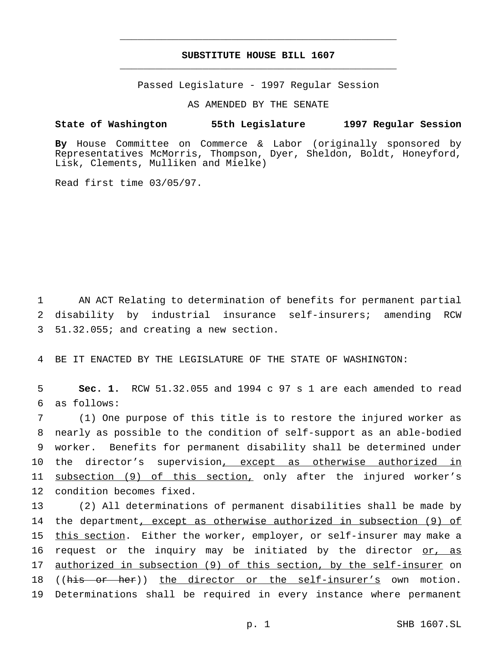# **SUBSTITUTE HOUSE BILL 1607** \_\_\_\_\_\_\_\_\_\_\_\_\_\_\_\_\_\_\_\_\_\_\_\_\_\_\_\_\_\_\_\_\_\_\_\_\_\_\_\_\_\_\_\_\_\_\_

\_\_\_\_\_\_\_\_\_\_\_\_\_\_\_\_\_\_\_\_\_\_\_\_\_\_\_\_\_\_\_\_\_\_\_\_\_\_\_\_\_\_\_\_\_\_\_

Passed Legislature - 1997 Regular Session

AS AMENDED BY THE SENATE

### **State of Washington 55th Legislature 1997 Regular Session**

**By** House Committee on Commerce & Labor (originally sponsored by Representatives McMorris, Thompson, Dyer, Sheldon, Boldt, Honeyford, Lisk, Clements, Mulliken and Mielke)

Read first time 03/05/97.

1 AN ACT Relating to determination of benefits for permanent partial 2 disability by industrial insurance self-insurers; amending RCW 3 51.32.055; and creating a new section.

4 BE IT ENACTED BY THE LEGISLATURE OF THE STATE OF WASHINGTON:

5 **Sec. 1.** RCW 51.32.055 and 1994 c 97 s 1 are each amended to read 6 as follows:

 (1) One purpose of this title is to restore the injured worker as nearly as possible to the condition of self-support as an able-bodied worker. Benefits for permanent disability shall be determined under 10 the director's supervision, except as otherwise authorized in 11 subsection (9) of this section, only after the injured worker's condition becomes fixed.

13 (2) All determinations of permanent disabilities shall be made by 14 the department, except as otherwise authorized in subsection (9) of 15 this section. Either the worker, employer, or self-insurer may make a 16 request or the inquiry may be initiated by the director or, as 17 authorized in subsection (9) of this section, by the self-insurer on 18 ((his or her)) the director or the self-insurer's own motion. 19 Determinations shall be required in every instance where permanent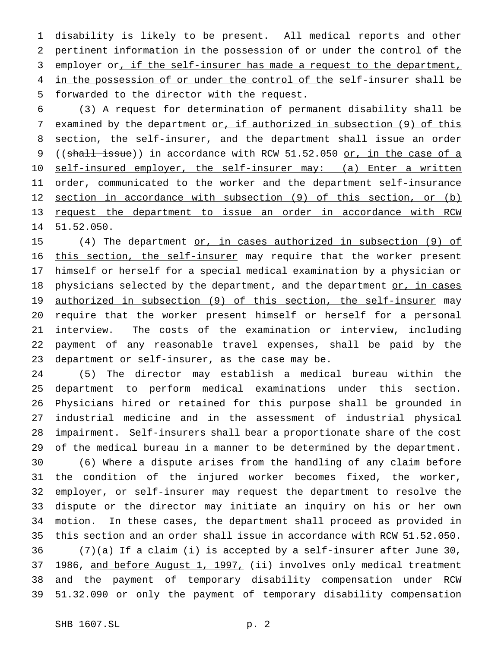disability is likely to be present. All medical reports and other pertinent information in the possession of or under the control of the 3 employer or, if the self-insurer has made a request to the department, 4 in the possession of or under the control of the self-insurer shall be forwarded to the director with the request.

 (3) A request for determination of permanent disability shall be 7 examined by the department or, if authorized in subsection (9) of this 8 section, the self-insurer, and the department shall issue an order 9 ((shall issue)) in accordance with RCW 51.52.050 or, in the case of a 10 self-insured employer, the self-insurer may: (a) Enter a written 11 order, communicated to the worker and the department self-insurance section in accordance with subsection (9) of this section, or (b) request the department to issue an order in accordance with RCW 51.52.050.

 (4) The department or, in cases authorized in subsection (9) of this section, the self-insurer may require that the worker present himself or herself for a special medical examination by a physician or 18 physicians selected by the department, and the department or, in cases 19 authorized in subsection (9) of this section, the self-insurer may require that the worker present himself or herself for a personal interview. The costs of the examination or interview, including payment of any reasonable travel expenses, shall be paid by the department or self-insurer, as the case may be.

 (5) The director may establish a medical bureau within the department to perform medical examinations under this section. Physicians hired or retained for this purpose shall be grounded in industrial medicine and in the assessment of industrial physical impairment. Self-insurers shall bear a proportionate share of the cost of the medical bureau in a manner to be determined by the department.

 (6) Where a dispute arises from the handling of any claim before the condition of the injured worker becomes fixed, the worker, employer, or self-insurer may request the department to resolve the dispute or the director may initiate an inquiry on his or her own motion. In these cases, the department shall proceed as provided in this section and an order shall issue in accordance with RCW 51.52.050. (7)(a) If a claim (i) is accepted by a self-insurer after June 30, 37 1986, and before August 1, 1997, (ii) involves only medical treatment and the payment of temporary disability compensation under RCW 51.32.090 or only the payment of temporary disability compensation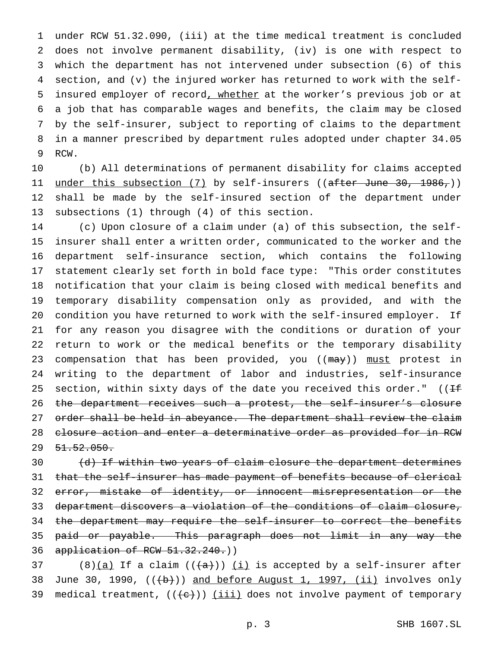under RCW 51.32.090, (iii) at the time medical treatment is concluded does not involve permanent disability, (iv) is one with respect to which the department has not intervened under subsection (6) of this section, and (v) the injured worker has returned to work with the self- insured employer of record, whether at the worker's previous job or at a job that has comparable wages and benefits, the claim may be closed by the self-insurer, subject to reporting of claims to the department in a manner prescribed by department rules adopted under chapter 34.05 RCW.

 (b) All determinations of permanent disability for claims accepted 11 <u>under this subsection (7)</u> by self-insurers ((<del>after June 30, 1986,</del>)) shall be made by the self-insured section of the department under subsections (1) through (4) of this section.

 (c) Upon closure of a claim under (a) of this subsection, the self- insurer shall enter a written order, communicated to the worker and the department self-insurance section, which contains the following statement clearly set forth in bold face type: "This order constitutes notification that your claim is being closed with medical benefits and temporary disability compensation only as provided, and with the condition you have returned to work with the self-insured employer. If for any reason you disagree with the conditions or duration of your return to work or the medical benefits or the temporary disability 23 compensation that has been provided, you ((may)) must protest in writing to the department of labor and industries, self-insurance 25 section, within sixty days of the date you received this order." ( $1 +$  the department receives such a protest, the self-insurer's closure 27 order shall be held in abeyance. The department shall review the claim 28 closure action and enter a determinative order as provided for in RCW  $29 \quad 51.52.050.$ 

30 (d) If within two years of claim closure the department determines 31 that the self-insurer has made payment of benefits because of clerical 32 error, mistake of identity, or innocent misrepresentation or the department discovers a violation of the conditions of claim closure, the department may require the self-insurer to correct the benefits paid or payable. This paragraph does not limit in any way the application of RCW 51.32.240.))

37 (8) $(a)$  If a claim  $((a+))$   $(i)$  is accepted by a self-insurer after 38 June 30, 1990,  $((+b))$  and before August 1, 1997,  $(ii)$  involves only 39 medical treatment,  $((e))$  (iii) does not involve payment of temporary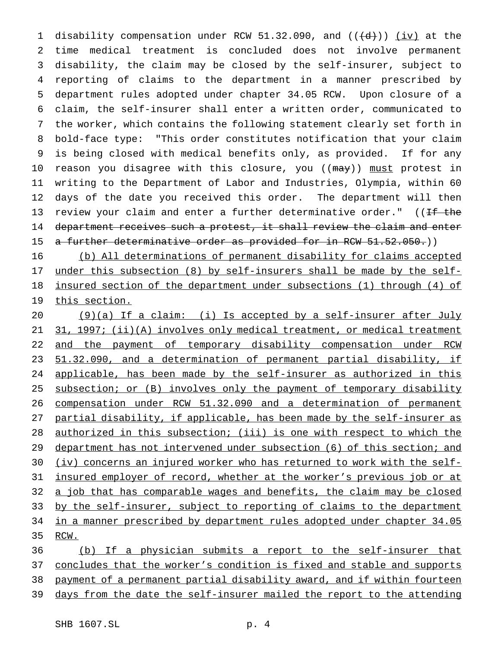1 disability compensation under RCW 51.32.090, and  $((+d))$   $(iv)$  at the time medical treatment is concluded does not involve permanent disability, the claim may be closed by the self-insurer, subject to reporting of claims to the department in a manner prescribed by department rules adopted under chapter 34.05 RCW. Upon closure of a claim, the self-insurer shall enter a written order, communicated to the worker, which contains the following statement clearly set forth in bold-face type: "This order constitutes notification that your claim is being closed with medical benefits only, as provided. If for any 10 reason you disagree with this closure, you ((may)) must protest in writing to the Department of Labor and Industries, Olympia, within 60 days of the date you received this order. The department will then 13 review your claim and enter a further determinative order."  $($  (If the 14 department receives such a protest, it shall review the claim and enter 15 a further determinative order as provided for in RCW 51.52.050.)

 (b) All determinations of permanent disability for claims accepted under this subsection (8) by self-insurers shall be made by the self- insured section of the department under subsections (1) through (4) of 19 this section.

 $(9)(a)$  If a claim: (i) Is accepted by a self-insurer after July 31, 1997; (ii)(A) involves only medical treatment, or medical treatment and the payment of temporary disability compensation under RCW 51.32.090, and a determination of permanent partial disability, if applicable, has been made by the self-insurer as authorized in this 25 subsection; or (B) involves only the payment of temporary disability compensation under RCW 51.32.090 and a determination of permanent partial disability, if applicable, has been made by the self-insurer as authorized in this subsection; (iii) is one with respect to which the 29 department has not intervened under subsection (6) of this section; and (iv) concerns an injured worker who has returned to work with the self-31 insured employer of record, whether at the worker's previous job or at 32 a job that has comparable wages and benefits, the claim may be closed 33 by the self-insurer, subject to reporting of claims to the department in a manner prescribed by department rules adopted under chapter 34.05 RCW.

 (b) If a physician submits a report to the self-insurer that 37 concludes that the worker's condition is fixed and stable and supports payment of a permanent partial disability award, and if within fourteen days from the date the self-insurer mailed the report to the attending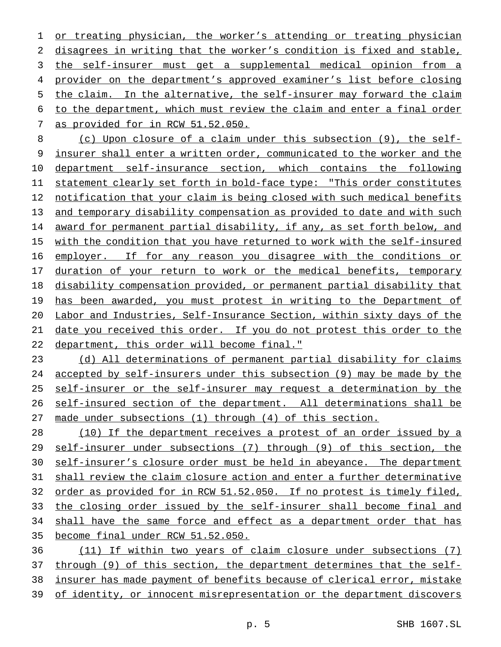or treating physician, the worker's attending or treating physician disagrees in writing that the worker's condition is fixed and stable, the self-insurer must get a supplemental medical opinion from a provider on the department's approved examiner's list before closing the claim. In the alternative, the self-insurer may forward the claim to the department, which must review the claim and enter a final order as provided for in RCW 51.52.050.

 (c) Upon closure of a claim under this subsection (9), the self- insurer shall enter a written order, communicated to the worker and the department self-insurance section, which contains the following statement clearly set forth in bold-face type: "This order constitutes notification that your claim is being closed with such medical benefits 13 and temporary disability compensation as provided to date and with such award for permanent partial disability, if any, as set forth below, and 15 with the condition that you have returned to work with the self-insured employer. If for any reason you disagree with the conditions or 17 duration of your return to work or the medical benefits, temporary disability compensation provided, or permanent partial disability that 19 has been awarded, you must protest in writing to the Department of Labor and Industries, Self-Insurance Section, within sixty days of the date you received this order. If you do not protest this order to the department, this order will become final."

 (d) All determinations of permanent partial disability for claims accepted by self-insurers under this subsection (9) may be made by the 25 self-insurer or the self-insurer may request a determination by the self-insured section of the department. All determinations shall be made under subsections (1) through (4) of this section.

 (10) If the department receives a protest of an order issued by a self-insurer under subsections (7) through (9) of this section, the 30 self-insurer's closure order must be held in abeyance. The department shall review the claim closure action and enter a further determinative order as provided for in RCW 51.52.050. If no protest is timely filed, the closing order issued by the self-insurer shall become final and 34 shall have the same force and effect as a department order that has become final under RCW 51.52.050.

 (11) If within two years of claim closure under subsections (7) 37 through (9) of this section, the department determines that the self- insurer has made payment of benefits because of clerical error, mistake 39 of identity, or innocent misrepresentation or the department discovers